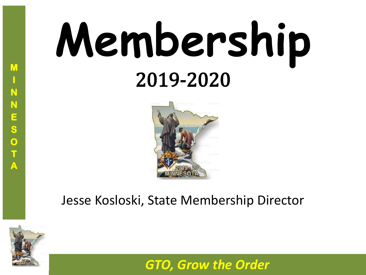# **Membership** 2019-2020



#### Jesse Kosloski, State Membership Director

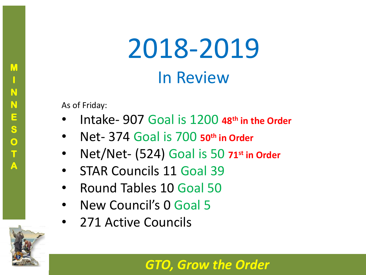## 2018-2019 In Review

As of Friday:

- Intake- 907 Goal is 1200 **48th in the Order**
- Net- 374 Goal is 700 **50th in Order**
- Net/Net- (524) Goal is 50 **71st in Order**
- STAR Councils 11 Goal 39
- Round Tables 10 Goal 50
- New Council's 0 Goal 5
- 271 Active Councils



**M**

**I**

**N**

**N**

**E**

**S**

**O**

**T**

**A**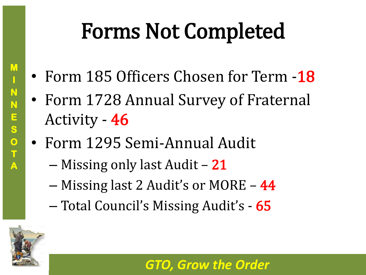### Forms Not Completed

- Form 185 Officers Chosen for Term -18
- Form 1728 Annual Survey of Fraternal Activity - 46
- Form 1295 Semi-Annual Audit
	- Missing only last Audit 21
	- Missing last 2 Audit's or MORE 44
	- Total Council's Missing Audit's 65

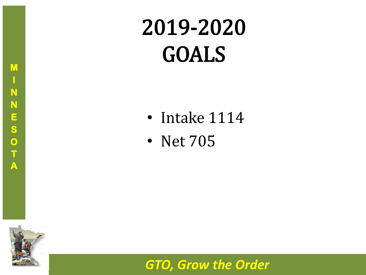### 2019-2020 GOALS

- Intake 1114
- Net 705

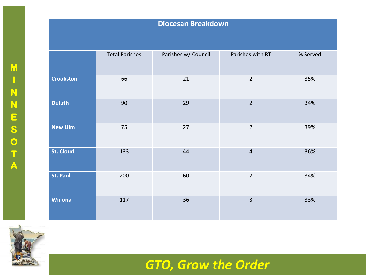#### **Diocesan Breakdown**

|                  | <b>Total Parishes</b> | Parishes w/ Council | Parishes with RT | % Served |
|------------------|-----------------------|---------------------|------------------|----------|
| <b>Crookston</b> | 66                    | 21                  | $\overline{2}$   | 35%      |
| <b>Duluth</b>    | 90                    | 29                  | $\overline{2}$   | 34%      |
| <b>New Ulm</b>   | 75                    | 27                  | $\overline{2}$   | 39%      |
| <b>St. Cloud</b> | 133                   | 44                  | $\overline{4}$   | 36%      |
| <b>St. Paul</b>  | 200                   | 60                  | $\overline{7}$   | 34%      |
| <b>Winona</b>    | 117                   | 36                  | $\overline{3}$   | 33%      |

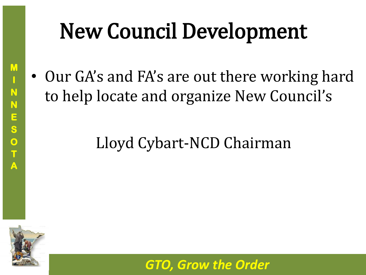### New Council Development

• Our GA's and FA's are out there working hard to help locate and organize New Council's

### Lloyd Cybart-NCD Chairman



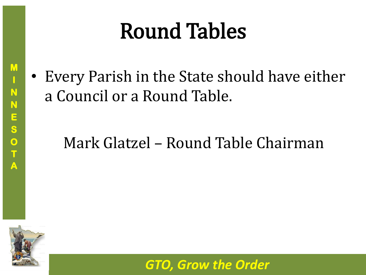### Round Tables

• Every Parish in the State should have either a Council or a Round Table.

#### Mark Glatzel – Round Table Chairman



**M**

**I**

**N**

**N**

**E**

**S**

**O**

**T**

**A**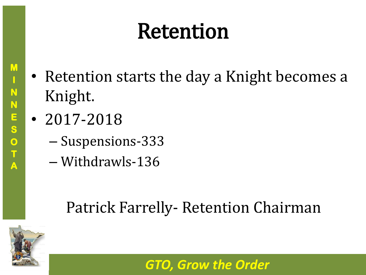### Retention

- Retention starts the day a Knight becomes a Knight.
- 2017-2018
	- Suspensions-333
	- Withdrawls-136

### Patrick Farrelly- Retention Chairman

*GTO, Grow the Order*



**M**

**I**

**N**

**N**

**E**

**S**

**O**

**T**

**A**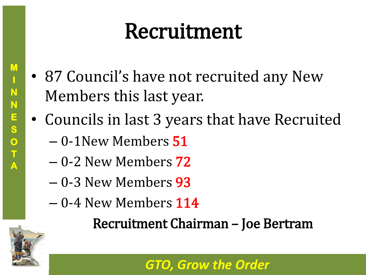### Recruitment

- 87 Council's have not recruited any New Members this last year.
- Councils in last 3 years that have Recruited
	- 0-1New Members 51
	- 0-2 New Members 72
	- 0-3 New Members 93
	- 0-4 New Members 114

Recruitment Chairman – Joe Bertram